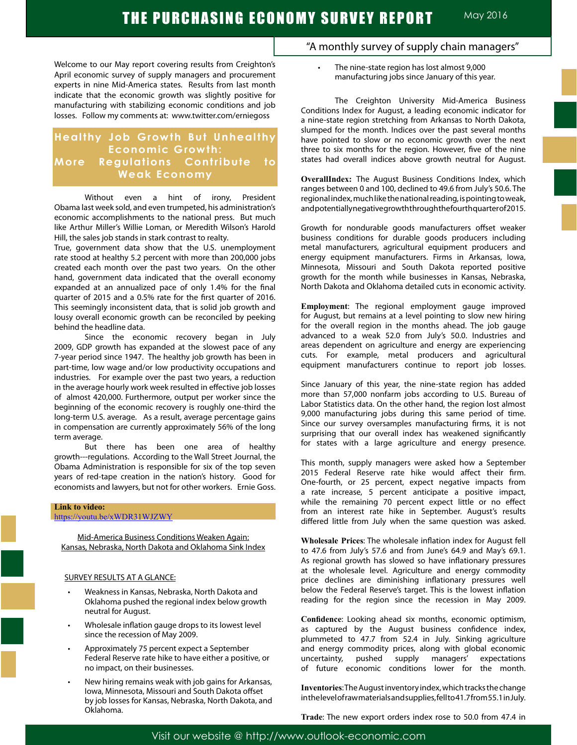Welcome to our May report covering results from Creighton's April economic survey of supply managers and procurement experts in nine Mid-America states. Results from last month indicate that the economic growth was slightly positive for manufacturing with stabilizing economic conditions and job losses. Follow my comments at: www.twitter.com/erniegoss

# **Healthy Job Growth But Unhealthy Economic Growth: More Regulations Contribute to Weak Economy**

Without even a hint of irony, President Obama last week sold, and even trumpeted, his administration's economic accomplishments to the national press. But much like Arthur Miller's Willie Loman, or Meredith Wilson's Harold Hill, the sales job stands in stark contrast to realty.

True, government data show that the U.S. unemployment rate stood at healthy 5.2 percent with more than 200,000 jobs created each month over the past two years. On the other hand, government data indicated that the overall economy expanded at an annualized pace of only 1.4% for the final quarter of 2015 and a 0.5% rate for the first quarter of 2016. This seemingly inconsistent data, that is solid job growth and lousy overall economic growth can be reconciled by peeking behind the headline data.

Since the economic recovery began in July 2009, GDP growth has expanded at the slowest pace of any 7-year period since 1947. The healthy job growth has been in part-time, low wage and/or low productivity occupations and industries. For example over the past two years, a reduction in the average hourly work week resulted in effective job losses of almost 420,000. Furthermore, output per worker since the beginning of the economic recovery is roughly one-third the long-term U.S. average. As a result, average percentage gains in compensation are currently approximately 56% of the long term average.

But there has been one area of healthy growth---regulations. According to the Wall Street Journal, the Obama Administration is responsible for six of the top seven years of red-tape creation in the nation's history. Good for economists and lawyers, but not for other workers. Ernie Goss.

#### **Link to video:**

https://youtu.be/xWDR31WJZWY

Mid-America Business Conditions Weaken Again: Kansas, Nebraska, North Dakota and Oklahoma Sink Index

#### SURVEY RESULTS AT A GLANCE:

- Weakness in Kansas, Nebraska, North Dakota and Oklahoma pushed the regional index below growth neutral for August.
- Wholesale inflation gauge drops to its lowest level since the recession of May 2009.
- Approximately 75 percent expect a September Federal Reserve rate hike to have either a positive, or no impact, on their businesses.
- New hiring remains weak with job gains for Arkansas, Iowa, Minnesota, Missouri and South Dakota offset by job losses for Kansas, Nebraska, North Dakota, and Oklahoma.
- "A monthly survey of supply chain managers"
	- The nine-state region has lost almost 9,000 manufacturing jobs since January of this year.

The Creighton University Mid-America Business Conditions Index for August, a leading economic indicator for a nine-state region stretching from Arkansas to North Dakota, slumped for the month. Indices over the past several months have pointed to slow or no economic growth over the next three to six months for the region. However, five of the nine states had overall indices above growth neutral for August.

**OverallIndex:** The August Business Conditions Index, which ranges between 0 and 100, declined to 49.6 from July's 50.6. The regional index, much like the national reading, is pointing to weak, and potentially negative growth through the fourth quarter of 2015.

Growth for nondurable goods manufacturers offset weaker business conditions for durable goods producers including metal manufacturers, agricultural equipment producers and energy equipment manufacturers. Firms in Arkansas, Iowa, Minnesota, Missouri and South Dakota reported positive growth for the month while businesses in Kansas, Nebraska, North Dakota and Oklahoma detailed cuts in economic activity.

**Employment**: The regional employment gauge improved for August, but remains at a level pointing to slow new hiring for the overall region in the months ahead. The job gauge advanced to a weak 52.0 from July's 50.0. Industries and areas dependent on agriculture and energy are experiencing cuts. For example, metal producers and agricultural equipment manufacturers continue to report job losses.

Since January of this year, the nine-state region has added more than 57,000 nonfarm jobs according to U.S. Bureau of Labor Statistics data. On the other hand, the region lost almost 9,000 manufacturing jobs during this same period of time. Since our survey oversamples manufacturing firms, it is not surprising that our overall index has weakened significantly for states with a large agriculture and energy presence.

This month, supply managers were asked how a September 2015 Federal Reserve rate hike would affect their firm. One-fourth, or 25 percent, expect negative impacts from a rate increase, 5 percent anticipate a positive impact, while the remaining 70 percent expect little or no effect from an interest rate hike in September. August's results differed little from July when the same question was asked.

**Wholesale Prices**: The wholesale inflation index for August fell to 47.6 from July's 57.6 and from June's 64.9 and May's 69.1. As regional growth has slowed so have inflationary pressures at the wholesale level. Agriculture and energy commodity price declines are diminishing inflationary pressures well below the Federal Reserve's target. This is the lowest inflation reading for the region since the recession in May 2009.

**Confidence**: Looking ahead six months, economic optimism, as captured by the August business confidence index, plummeted to 47.7 from 52.4 in July. Sinking agriculture and energy commodity prices, along with global economic uncertainty, pushed supply managers' expectations of future economic conditions lower for the month.

**Inventories**: The August inventory index, which tracks the change in the level of raw materials and supplies, fell to 41.7 from 55.1 in July.

**Trade**: The new export orders index rose to 50.0 from 47.4 in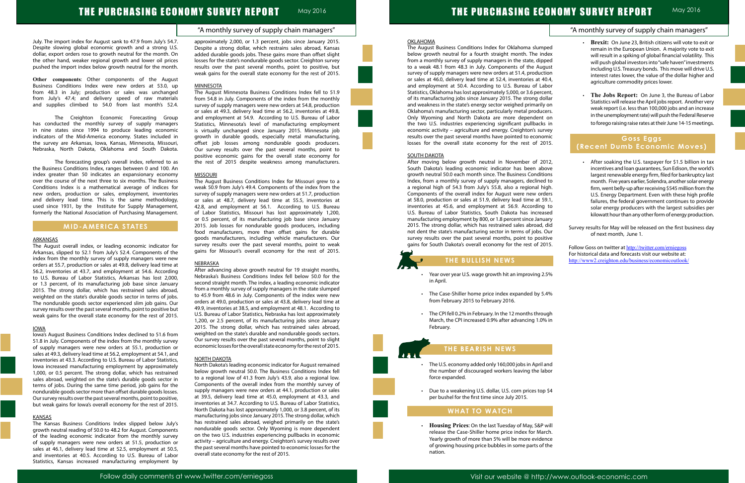|                                                   | "A monthly survey of supply chain managers"                                                                                                                                                                                                                                                                                                                                                                                        |
|---------------------------------------------------|------------------------------------------------------------------------------------------------------------------------------------------------------------------------------------------------------------------------------------------------------------------------------------------------------------------------------------------------------------------------------------------------------------------------------------|
| ped<br>dex<br>ped<br>gust<br>tion<br>Ю.4,<br>ıbor | <b>Brexit:</b> On June 23, British citizens will vote to exit or<br>$\bullet$<br>remain in the European Union. A majority vote to exit<br>will result in a spiking of global financial volatility. This<br>will push global investors into "safe haven" investments<br>including U.S. Treasury bonds. This move will drive U.S.<br>interest rates lower, the value of the dollar higher and<br>agriculture commodity prices lower. |
| ent,<br>ɔllar<br>/ on                             | The Jobs Report: On June 3, the Bureau of Labor<br>$\bullet$<br>Statistics will release the April jobs report. Another very                                                                                                                                                                                                                                                                                                        |
| ers.                                              | weak report (i.e. less than 100,000 jobs and an increase<br>in the unemployment rate) will push the Federal Reserve                                                                                                                                                                                                                                                                                                                |
| on<br>s in<br>vey'                                | to forego raising raise rates at their June 14-15 meetings.                                                                                                                                                                                                                                                                                                                                                                        |
| mic                                               | Goss Eggs                                                                                                                                                                                                                                                                                                                                                                                                                          |
| 015.                                              | (Recent Dumb Economic Moves)                                                                                                                                                                                                                                                                                                                                                                                                       |
| 012,<br>ove<br>ions<br>d to                       | After soaking the U.S. taxpayer for \$1.5 billion in tax<br>incentives and loan guarantees, Sun Edison, the world's<br>largest renewable energy firm, filed for bankruptcy last<br>month. Five years earlier, Solendra, another solar energy                                                                                                                                                                                       |
| igh.                                              | firm, went belly-up after receiving \$545 million from the                                                                                                                                                                                                                                                                                                                                                                         |
| ders<br>i9.1,                                     | U.S. Energy Department. Even with these high profile                                                                                                                                                                                                                                                                                                                                                                               |
| j to                                              | failures, the federal government continues to provide<br>solar energy producers with the largest subsidies per                                                                                                                                                                                                                                                                                                                     |
| ısed                                              | kilowatt hour than any other form of energy production.                                                                                                                                                                                                                                                                                                                                                                            |
| ıary<br>did<br>Our<br>tive                        | Survey results for May will be released on the first business day<br>of next month, June 1.                                                                                                                                                                                                                                                                                                                                        |
| 015.                                              | Follow Goss on twitter at http://twitter.com/erniegoss<br>For historical data and forecasts visit our website at:                                                                                                                                                                                                                                                                                                                  |
|                                                   | http://www2.creighton.edu/business/economicoutlook/                                                                                                                                                                                                                                                                                                                                                                                |
| .5%                                               |                                                                                                                                                                                                                                                                                                                                                                                                                                    |
| .4%                                               |                                                                                                                                                                                                                                                                                                                                                                                                                                    |
| ugh                                               |                                                                                                                                                                                                                                                                                                                                                                                                                                    |
| % in                                              |                                                                                                                                                                                                                                                                                                                                                                                                                                    |
|                                                   |                                                                                                                                                                                                                                                                                                                                                                                                                                    |
| and<br>ıbor                                       |                                                                                                                                                                                                                                                                                                                                                                                                                                    |
| \$4 د                                             |                                                                                                                                                                                                                                                                                                                                                                                                                                    |
|                                                   |                                                                                                                                                                                                                                                                                                                                                                                                                                    |

- 
- 

## "A monthly survey of supply chain managers"

# THE PURCHASING ECONOMY SURVEY REPORT MAY 2016

#### July. The import index for August sank to 47.9 from July's 54.7. Despite slowing global economic growth and a strong U.S. dollar, export orders rose to growth neutral for the month. On the other hand, weaker regional growth and lower oil prices pushed the import index below growth neutral for the month.

**Other components**: Other components of the August Business Conditions Index were new orders at 53.0, up from 48.3 in July; production or sales was unchanged from July's 47.4; and delivery speed of raw materials and supplies climbed to 54.0 from last month's 52.4.

The Creighton Economic Forecasting Group has conducted the monthly survey of supply managers in nine states since 1994 to produce leading economic indicators of the Mid-America economy. States included in the survey are Arkansas, Iowa, Kansas, Minnesota, Missouri, Nebraska, North Dakota, Oklahoma and South Dakota.

The forecasting group's overall index, referred to as the Business Conditions Index, ranges between 0 and 100. An index greater than 50 indicates an expansionary economy over the course of the next three to six months. The Business Conditions Index is a mathematical average of indices for new orders, production or sales, employment, inventories and delivery lead time. This is the same methodology, used since 1931, by the Institute for Supply Management, formerly the National Association of Purchasing Management.

## **MID-AMERICA STATES**

#### ARKANSAS

The August overall index, or leading economic indicator for Arkansas, slipped to 52.1 from July's 52.4. Components of the index from the monthly survey of supply managers were new orders at 55.7, production or sales at 49.8, delivery lead time at 56.2, inventories at 43.7, and employment at 54.6. According to U.S. Bureau of Labor Statistics, Arkansas has lost 2,000, or 1.3 percent, of its manufacturing job base since January 2015. The strong dollar, which has restrained sales abroad, weighted on the state's durable goods sector in terms of jobs. The nondurable goods sector experienced slim job gains. Our survey results over the past several months, point to positive but weak gains for the overall state economy for the rest of 2015.

#### IOWA

Iowa's August Business Conditions Index declined to 51.6 from 51.8 in July. Components of the index from the monthly survey of supply managers were new orders at 55.1, production or sales at 49.3, delivery lead time at 56.2, employment at 54.1, and inventories at 43.3. According to U.S. Bureau of Labor Statistics, Iowa increased manufacturing employment by approximately 1,000, or 0.5 percent. The strong dollar, which has restrained sales abroad, weighted on the state's durable goods sector in terms of jobs. During the same time period, job gains for the nondurable goods sector more than offset durable goods losses. Our survey results over the past several months, point to positive, but weak gains for Iowa's overall economy for the rest of 2015.

#### **KANSAS**

The Kansas Business Conditions Index slipped below July's growth neutral reading of 50.0 to 48.2 for August. Components of the leading economic indicator from the monthly survey of supply managers were new orders at 51.5, production or sales at 46.1, delivery lead time at 52.5, employment at 50.5, and inventories at 40.5. According to U.S. Bureau of Labor Statistics, Kansas increased manufacturing employment by approximately 2,000, or 1.3 percent, jobs since January 2015. Despite a strong dollar, which restrains sales abroad, Kansas added durable goods jobs. These gains more than offset slight losses for the state's nondurable goods sector. Creighton survey results over the past several months, point to positive, but weak gains for the overall state economy for the rest of 2015.

### MINNESOTA

The August Minnesota Business Conditions Index fell to 51.9 from 54.8 in July. Components of the index from the monthly survey of supply managers were new orders at 54.8, production or sales at 49.3, delivery lead time at 56.2, inventories at 49.8, and employment at 54.9. According to U.S. Bureau of Labor Statistics, Minnesota's level of manufacturing employment is virtually unchanged since January 2015. Minnesota job growth in durable goods, especially metal manufacturing, offset job losses among nondurable goods producers. Our survey results over the past several months, point to positive economic gains for the overall state economy for the rest of 2015 despite weakness among manufacturers.

#### **MISSOURI**

- Year over year U.S. wage growth hit an improving 2 in April.
- The Case-Shiller home price index expanded by 5 from February 2015 to February 2016.
- The CPI fell 0.2% in February. In the 12 months through-March, the CPI increased 0.9% after advancing 1.09 February.

- The U.S. economy added only 160,000 jobs in April the number of discouraged workers leaving the la force expanded.
- Due to a weakening U.S. dollar, U.S. corn prices top per bushel for the first time since July 2015.

The August Business Conditions Index for Missouri grew to a weak 50.9 from July's 49.4. Components of the index from the survey of supply managers were new orders at 51.7, production or sales at 48.7, delivery lead time at 55.5, inventories at 42.8, and employment at 56.1. According to U.S. Bureau of Labor Statistics, Missouri has lost approximately 1,200, or 0.5 percent, of its manufacturing job base since January 2015. Job losses for nondurable goods producers, including food manufacturers, more than offset gains for durable goods manufacturers, including vehicle manufacturers. Our survey results over the past several months, point to weak gains for Missouri's overall economy for the rest of 2015.

### **NEBRASKA**

After advancing above growth neutral for 19 straight months, Nebraska's Business Conditions Index fell below 50.0 for the second straight month. The index, a leading economic indicator from a monthly survey of supply managers in the state slumped to 45.9 from 48.6 in July. Components of the index were new orders at 49.0, production or sales at 43.8, delivery lead time at 49.9, inventories at 38.5, and employment at 48.1. According to U.S. Bureau of Labor Statistics, Nebraska has lost approximately 1,200, or 2.5 percent, of its manufacturing jobs since January 2015. The strong dollar, which has restrained sales abroad, weighted on the state's durable and nondurable goods sectors. Our survey results over the past several months, point to slight economic losses for the overall state economy for the rest of 2015.

#### NORTH DAKOTA

North Dakota's leading economic indicator for August remained below growth neutral 50.0. The Business Conditions Index fell to a regional low of 41.3 from July's 43.9, also a regional low. Components of the overall index from the monthly survey of supply managers were new orders at 44.1, production or sales at 39.5, delivery lead time at 45.0, employment at 43.3, and inventories at 34.7. According to U.S. Bureau of Labor Statistics, North Dakota has lost approximately 1,000, or 3.8 percent, of its manufacturing jobs since January 2015. The strong dollar, which has restrained sales abroad, weighed primarily on the state's nondurable goods sector. Only Wyoming is more dependent on the two U.S. industries experiencing pullbacks in economic activity – agriculture and energy. Creighton's survey results over the past several months have pointed to economic losses for the overall state economy for the rest of 2015.

#### OKLAHOMA

The August Business Conditions Index for Oklahoma slum below growth neutral for a fourth straight month. The in from a monthly survey of supply managers in the state, dip to a weak 48.1 from 48.3 in July. Components of the Aug survey of supply managers were new orders at 51.4, product or sales at 46.0, delivery lead time at 52.4, inventories at 4 and employment at 50.4. According to U.S. Bureau of La Statistics, Oklahoma has lost approximately 5,000, or 3.6 perc of its manufacturing jobs since January 2015. The strong do and weakness in the state's energy sector weighed primarily Oklahoma's manufacturing sector, particularly metal produc Only Wyoming and North Dakota are more dependent the two U.S. industries experiencing significant pullbacks economic activity – agriculture and energy. Creighton's sur results over the past several months have pointed to economic losses for the overall state economy for the rest of 20

#### **SOUTH DAKOTA**

After moving below growth neutral in November of 2012 South Dakota's leading economic indicator has been ab growth neutral 50.0 each month since. The Business Conditi Index, from a monthly survey of supply managers, declined a regional high of 54.3 from July's 55.8, also a regional h Components of the overall index for August were new ord at 58.0, production or sales at 51.9, delivery lead time at 5 inventories at 45.6, and employment at 56.9. According U.S. Bureau of Labor Statistics, South Dakota has increa manufacturing employment by 800, or 1.8 percent since Janu 2015. The strong dollar, which has restrained sales abroad, not dent the state's manufacturing sector in terms of jobs. survey results over the past several months, point to posi gains for South Dakota's overall economy for the rest of 20

l

Ĩ

## **THE BULLISH NEWS**

# **THE BEARISH NEWS**

## **WHAT TO WATCH**

 • **Housing Prices**: On the last Tuesday of May, S&P will release the Case-Shiller home price index for March. Yearly growth of more than 5% will be more evidence of growing housing price bubbles in some parts of the nation.